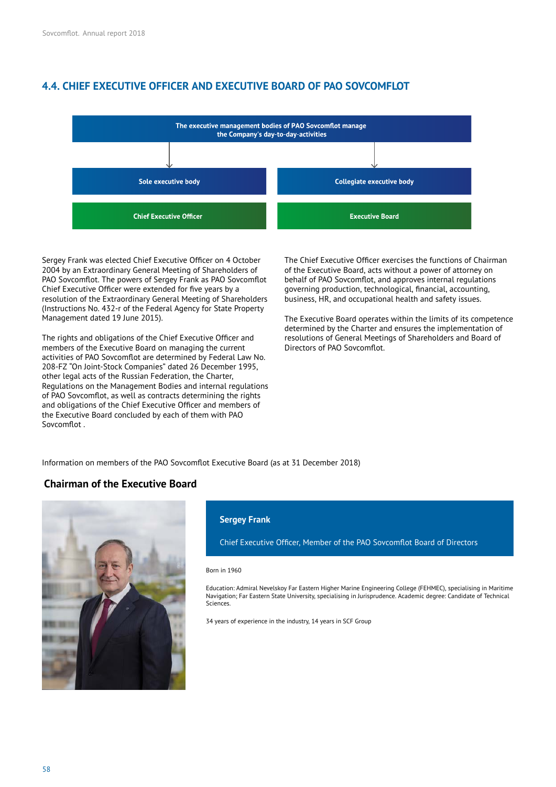# **4.4. CHIEF EXECUTIVE OFFICER AND EXECUTIVE BOARD OF PAO SOVCOMFLOT**



Sergey Frank was elected Chief Executive Officer on 4 October 2004 by an Extraordinary General Meeting of Shareholders of PAO Sovcomflot. The powers of Sergey Frank as PAO Sovcomflot Chief Executive Officer were extended for five years by a resolution of the Extraordinary General Meeting of Shareholders (Instructions No. 432-r of the Federal Agency for State Property Management dated 19 June 2015).

The rights and obligations of the Chief Executive Officer and members of the Executive Board on managing the current activities of PAO Sovcomflot are determined by Federal Law No. 208-FZ "On Joint-Stock Companies" dated 26 December 1995, other legal acts of the Russian Federation, the Charter, Regulations on the Management Bodies and internal regulations of PAO Sovcomflot, as well as contracts determining the rights and obligations of the Chief Executive Officer and members of the Executive Board concluded by each of them with PAO Sovcomflot.

The Chief Executive Officer exercises the functions of Chairman of the Executive Board, acts without a power of attorney on behalf of PAO Sovcomflot, and approves internal regulations governing production, technological, financial, accounting, business, HR, and occupational health and safety issues.

The Executive Board operates within the limits of its competence determined by the Charter and ensures the implementation of resolutions of General Meetings of Shareholders and Board of Directors of PAO Sovcomflot.

Information on members of the PAO Sovcomflot Executive Board (as at 31 December 2018)

# **Chairman of the Executive Board**



### **Sergey Frank**

Chief Executive Officer, Member of the PAO Sovcomflot Board of Directors

### Born in 1960

Education: Admiral Nevelskoy Far Eastern Higher Marine Engineering College (FEHMEC), specialising in Maritime Navigation; Far Eastern State University, specialising in Jurisprudence. Academic degree: Candidate of Technical Sciences.

34 years of experience in the industry, 14 years in SCF Group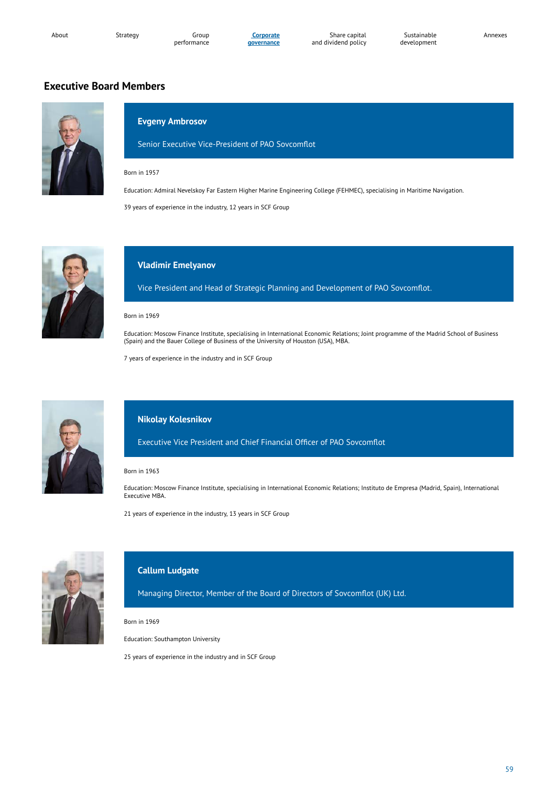**Corporate governance**

Share capital and dividend policy Annexes

# **Executive Board Members**



# **Evgeny Ambrosov**

Senior Executive Vice-President of PAO Sovcomflot

### Born in 1957

Education: Admiral Nevelskoy Far Eastern Higher Marine Engineering College (FEHMEC), specialising in Maritime Navigation.

39 years of experience in the industry, 12 years in SCF Group



## **Vladimir Emelyanov**

Vice President and Head of Strategic Planning and Development of PAO Sovcomflot.

#### Born in 1969

Education: Moscow Finance Institute, specialising in International Economic Relations; Joint programme of the Madrid School of Business (Spain) and the Bauer College of Business of the University of Houston (USA), MBA.

7 years of experience in the industry and in SCF Group



## **Nikolay Kolesnikov**

Executive Vice President and Chief Financial Officer of PAO Sovcomflot

### Born in 1963

Education: Moscow Finance Institute, specialising in International Economic Relations; Instituto de Empresa (Madrid, Spain), International Executive MBA.

21 years of experience in the industry, 13 years in SCF Group



# **Callum Ludgate**

Managing Director, Member of the Board of Directors of Sovcomflot (UK) Ltd.

Born in 1969

Education: Southampton University

25 years of experience in the industry and in SCF Group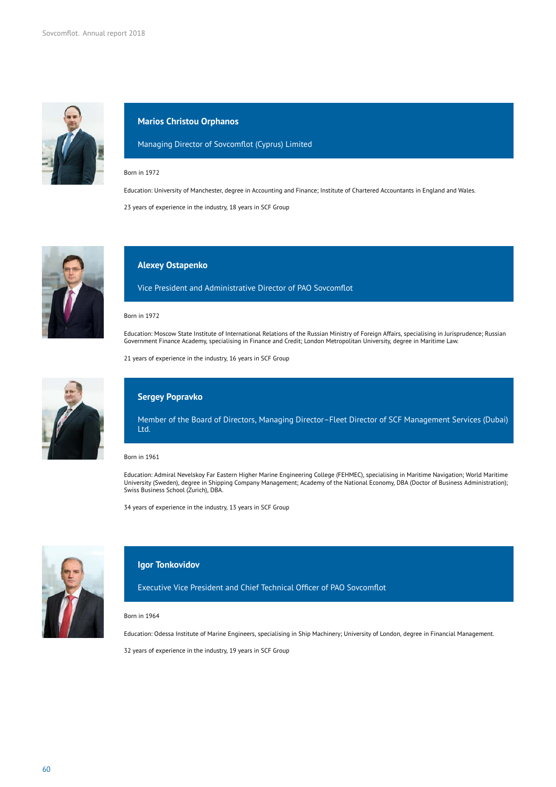

## **Marios Christou Orphanos**

Managing Director of Sovcomflot (Cyprus) Limited

### Born in 1972

Education: University of Manchester, degree in Accounting and Finance; Institute of Chartered Accountants in England and Wales.

23 years of experience in the industry, 18 years in SCF Group



### **Alexey Ostapenko**

Vice President and Administrative Director of PAO Sovcomflot

### Born in 1972

Education: Moscow State Institute of International Relations of the Russian Ministry of Foreign Affairs, specialising in Jurisprudence; Russian Government Finance Academy, specialising in Finance and Credit; London Metropolitan University, degree in Maritime Law.

21 years of experience in the industry, 16 years in SCF Group



## **Sergey Popravko**

Member of the Board of Directors, Managing Director–Fleet Director of SCF Management Services (Dubai) Ltd.

### Born in 1961

Education: Admiral Nevelskoy Far Eastern Higher Marine Engineering College (FEHMEC), specialising in Maritime Navigation; World Maritime University (Sweden), degree in Shipping Company Management; Academy of the National Economy, DBA (Doctor of Business Administration); Swiss Business School (Zurich), DBA.

34 years of experience in the industry, 13 years in SCF Group



## **Igor Tonkovidov**

Executive Vice President and Chief Technical Officer of PAO Sovcomflot

#### Born in 1964

Education: Odessa Institute of Marine Engineers, specialising in Ship Machinery; University of London, degree in Financial Management.

32 years of experience in the industry, 19 years in SCF Group